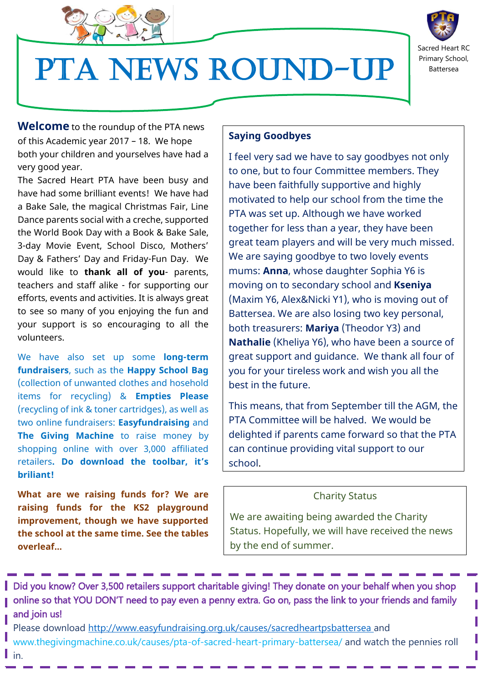

# PTA News Round-up



**Welcome** to the roundup of the PTA news of this Academic year 2017 – 18. We hope both your children and yourselves have had a very good year.

The Sacred Heart PTA have been busy and have had some brilliant events! We have had a Bake Sale, the magical Christmas Fair, Line Dance parents social with a creche, supported the World Book Day with a Book & Bake Sale, 3-day Movie Event, School Disco, Mothers' Day & Fathers' Day and Friday-Fun Day. We would like to **thank all of you**- parents, teachers and staff alike - for supporting our efforts, events and activities. It is always great to see so many of you enjoying the fun and your support is so encouraging to all the volunteers.

We have also set up some **long-term fundraisers**, such as the **Happy School Bag** (collection of unwanted clothes and hosehold items for recycling) & **Empties Please**  (recycling of ink & toner cartridges), as well as two online fundraisers: **Easyfundraising** and **The Giving Machine** to raise money by shopping online with over 3,000 affiliated retailers**. Do download the toolbar, it's briliant!**

**What are we raising funds for? We are raising funds for the KS2 playground improvement, though we have supported the school at the same time. See the tables overleaf...**

## $\overline{\mathbf{S}^2}$ **Saying Goodbyes**

I feel very sad we have to say goodbyes not only to one, but to four Committee members. They have been faithfully supportive and highly motivated to help our school from the time the PTA was set up. Although we have worked together for less than a year, they have been great team players and will be very much missed. We are saying goodbye to two lovely events mums: **Anna**, whose daughter Sophia Y6 is moving on to secondary school and **Kseniya** (Maxim Y6, Alex&Nicki Y1), who is moving out of Battersea. We are also losing two key personal, both treasurers: **Mariya** (Theodor Y3) and **Nathalie** (Kheliya Y6), who have been a source of great support and guidance. We thank all four of you for your tireless work and wish you all the best in the future.

This means, that from September till the AGM, the PTA Committee will be halved. We would be delighted if parents came forward so that the PTA can continue providing vital support to our school.

#### Charity Status

We are awaiting being awarded the Charity Status. Hopefully, we will have received the news by the end of summer.

Did you know? Over 3,500 retailers support charitable giving! They donate on your behalf when you shop online so that YOU DON'T need to pay even a penny extra. Go on, pass the link to your friends and family and join us!

Please download<http://www.easyfundraising.org.uk/causes/sacredheartpsbattersea> and www.thegivingmachine.co.uk/causes/pta-of-sacred-heart-primary-battersea/ and watch the pennies roll in. **NEW COMMITTEE MEMBERS**